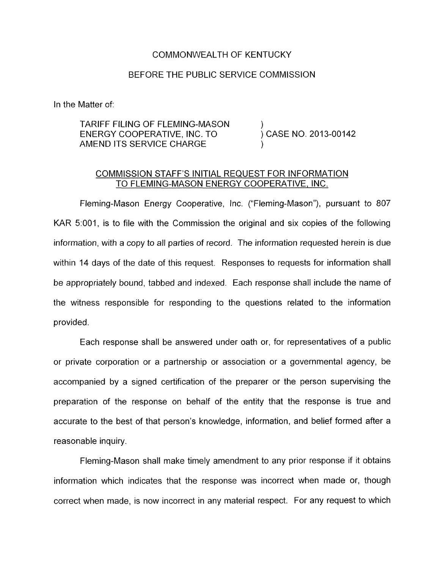## COMMONWEALTH OF KENTUCKY

## BEFORE THE PUBLIC SERVICE COMMISSION

In the Matter of:

## TARIFF FILING OF FLEMING-MASON (2013-00142)<br>ENERGY COOPERATIVE, INC. TO (2015) CASE NO. 2013-00142 AMEND ITS SERVICE CHARGE ENERGY COOPERATIVE, INC. TO

## COMMISSION STAFF'S INITIAL REQUEST FOR INFORMATION TO FLEMING-MASON ENERGY COOPERATIVE, INC.

Fleming-Mason Energy Cooperative, Inc. ("Fleming-Mason"), pursuant to 807 KAR 5:001, is to file with the Commission the original and six copies of the following information, with a copy to all parties of record. The information requested herein is due within 14 days of the date of this request. Responses to requests for information shall be appropriately bound, tabbed and indexed. Each response shall include the name of the witness responsible for responding to the questions related to the information provided.

Each response shall be answered under oath or, for representatives of a public or private corporation or a partnership or association or a governmental agency, be accompanied by a signed certification of the preparer or the person supervising the preparation of the response on behalf of the entity that the response is true and accurate to the best of that person's knowledge, information, and belief formed after a reasonable inquiry

Fleming-Mason shall make timely amendment to any prior response if it obtains information which indicates that the response was incorrect when made or, though correct when made, is now incorrect in any material respect. For any request to which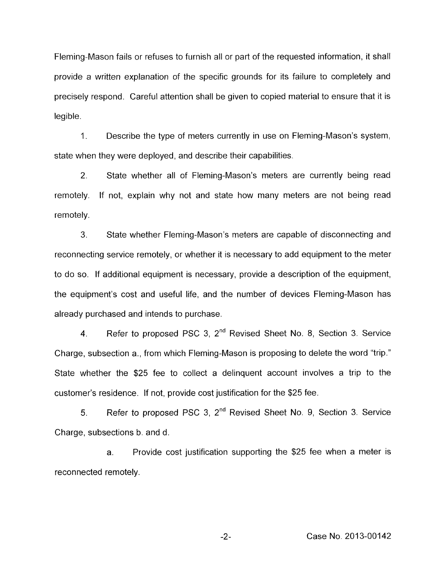Fleming-Mason fails or refuses to furnish all or part of the requested information, it shall provide a written explanation of the specific grounds for its failure to completely and precisely respond. Careful attention shall be given to copied material to ensure that it is legible.

1. Describe the type of meters currently in use on Fleming-Mason's system, state when they were deployed, and describe their capabilities.

2. remotely. remotely. State whether all of Fleming-Mason's meters are currently being read If not, explain why not and state how many meters are not being read

3. State whether Fleming-Mason's meters are capable of disconnecting and reconnecting service remotely, or whether it is necessary to add equipment to the meter to do so. If additional equipment is necessary, provide a description of the equipment, the equipment's cost and useful life, and the number of devices Fleming-Mason has already purchased and intends to purchase.

**4.** Refer to proposed PSC 3, 2"d Revised Sheet No. 8, Section 3. Service Charge, subsection a., from which Fleming-Mason is proposing to delete the word "trip." State whether the \$25 fee to collect a delinquent account involves a trip to the customer's residence. If not, provide cost justification for the \$25 fee.

*5.* Refer to proposed PSC 3, 2nd Revised Sheet No. 9, Section 3. Service Charge, subsections b. and d.

a. Provide cost justification supporting the \$25 fee when a meter is reconnected remotely.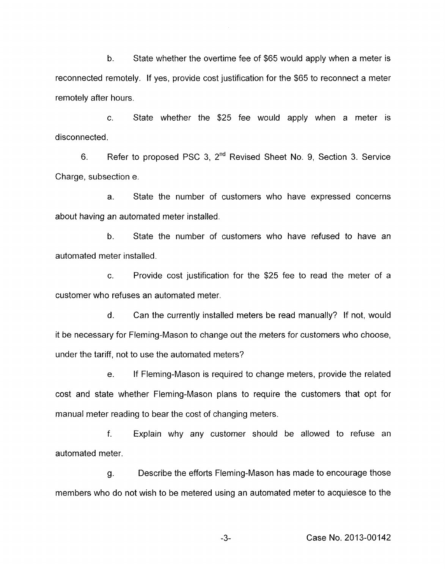b. State whether the overtime fee of \$65 would apply when a meter is reconnected remotely. If yes, provide cost justification for the \$65 to reconnect a meter remotely after hours.

c. State whether the \$25 fee would apply when a meter is disconnected,

6. Refer to proposed PSC 3, 2nd Revised Sheet No. 9, Section 3. Service Charge, subsection e.

a. State the number of customers who have expressed concerns about having an automated meter installed.

b. State the number of customers who have refused to have an automated meter installed.

c. Provide cost justification for the \$25 fee to read the meter of a customer who refuses an automated meter.

d. Can the currently installed meters be read manually? If not, would it be necessary for Fleming-Mason to change out the meters for customers who choose, under the tariff, not to use the automated meters?

e. If Fleming-Mason is required to change meters, provide the related cost and state whether Fleming-Mason plans to require the customers that opt for manual meter reading to bear the cost of changing meters.

f. Explain why any customer should be allowed to refuse an automated meter.

g. Describe the efforts Fleming-Mason has made to encourage those members who do not wish to be metered using an automated meter to acquiesce to the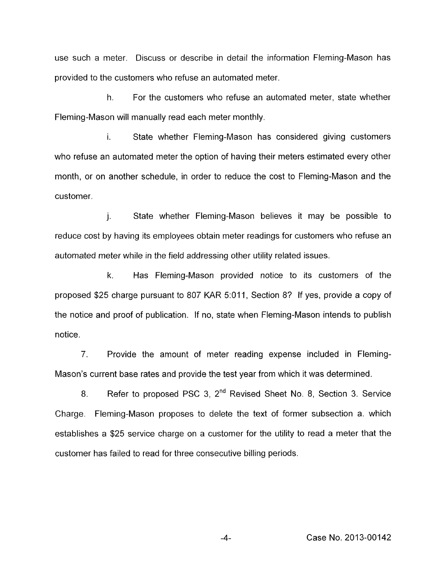use such a meter. Discuss or describe in detail the information Fleming-Mason has provided to the customers who refuse an automated meter.

h. For the customers who refuse an automated meter, state whether Fleming-Mason will manually read each meter monthly.

**I.** State whether Fleming-Mason has considered giving customers who refuse an automated meter the option of having their meters estimated every other month, or on another schedule, in order to reduce the cost to Fleming-Mason and the customer.

j. State whether Fleming-Mason believes it may be possible to reduce cost by having its employees obtain meter readings for customers who refuse an automated meter while in the field addressing other utility related issues.

k. Has Fleming-Mason provided notice to its customers of the proposed \$25 charge pursuant to 807 KAR 5:011, Section *8?* If yes, provide a copy of the notice and proof of publication. If no, state when Fleming-Mason intends to publish notice.

7. Provide the amount of meter reading expense included in Fleming-Mason's current base rates and provide the test year from which it was determined.

8. Refer to proposed PSC 3, 2<sup>nd</sup> Revised Sheet No. 8, Section 3. Service Charge. Fleming-Mason proposes to delete the text of former subsection a. which establishes a \$25 service charge on a customer for the utility to read a meter that the customer has failed to read for three consecutive billing periods.

**-4-** Case No. 2013-00142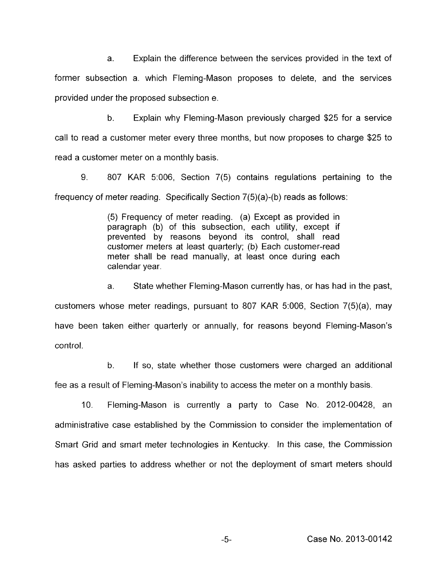a. Explain the difference between the services provided in the text of former subsection a. which Fleming-Mason proposes to delete, and the services provided under the proposed subsection e.

b. Explain why Fleming-Mason previously charged \$25 for a service call to read a customer meter every three months, but now proposes to charge \$25 to read a customer meter on a monthly basis.

9. 807 KAR 5:006, Section 7(5) contains regulations pertaining to the frequency of meter reading. Specifically Section 7(5)(a)-(b) reads as follows:

> (5) Frequency of meter reading. (a) Except as provided in paragraph (b) of this subsection, each utility, except if prevented by reasons beyond its control, shall read customer meters at least quarterly; (b) Each customer-read meter shall be read manually, at least once during each calendar year.

a. State whether Fleming-Mason currently has, or has had in the past, customers whose meter readings, pursuant to 807 KAR 5:006, Section 7(5)(a), may have been taken either quarterly or annually, for reasons beyond Fleming-Mason's control.

b. If so, state whether those customers were charged an additional fee as a result of Fleming-Mason's inability to access the meter on a monthly basis.

IO. Fleming-Mason is currently a party to Case No. 2012-00428, an administrative case established by the Commission to consider the implementation of Smart Grid and smart meter technologies in Kentucky. In this case, the Commission has asked parties to address whether or not the deployment of smart meters should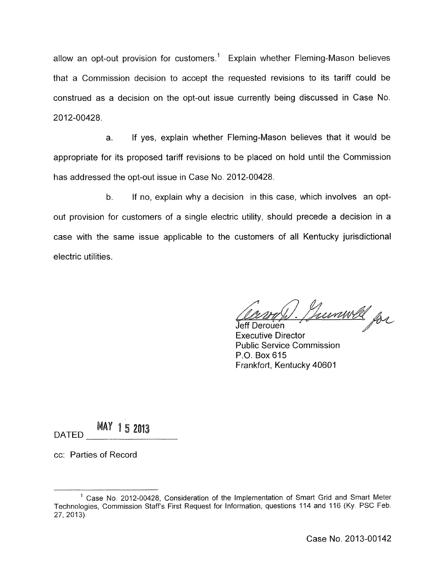allow an opt-out provision for customers.<sup>1</sup> Explain whether Fleming-Mason believes that a Cornmission decision to accept the requested revisions to its tariff could be construed as a decision on the opt-out issue currently being discussed in Case No. 2012-00428.

a. If yes, explain whether Fleming-Mason believes that it would be appropriate for its proposed tariff revisions to be placed on hold until the Commission has addressed the opt-out issue in Case No. 2012-00428.

b. If no, explain why a decision in this case, which involves an optout provision for customers of a single electric utility, should precede a decision in a case with the same issue applicable to the customers of all Kentucky jurisdictional electric utilities.

Cource Hummell<br>Jeff Derouen<br>Executive Director Jeff Derouen

Public Service Commission P.O. Box 615 Frankfort, Kentucky 40601

**MAY 15 2013** DATED

cc: Parties of Record

<sup>&#</sup>x27; Case No. 2012-00428, Consideration of the implementation of Smart Grid and Smart Meter Technologies, Commission Staff's First Request for information, questions 114 and 116 **(Ky.** PSC Feb. 27, 2013).